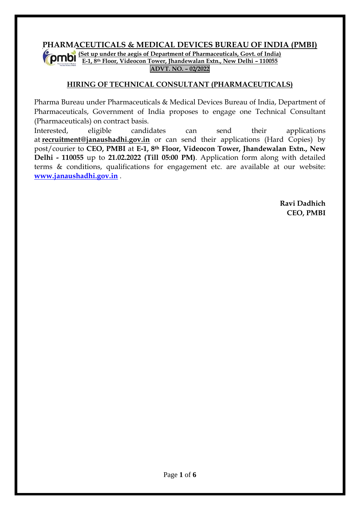# **PHARMACEUTICALS & MEDICAL DEVICES BUREAU OF INDIA (PMBI)**

**(Set up under the aegis of Department of Pharmaceuticals, Govt. of India) E-1, 8th Floor, Videocon Tower, Jhandewalan Extn., New Delhi – 110055 ADVT. NO. – 02/2022**

## **HIRING OF TECHNICAL CONSULTANT (PHARMACEUTICALS)**

Pharma Bureau under Pharmaceuticals & Medical Devices Bureau of India, Department of Pharmaceuticals, Government of India proposes to engage one Technical Consultant (Pharmaceuticals) on contract basis.

Interested, eligible candidates can send their applications at **[recruitment@janaushadhi.gov.in](mailto:recruitment@janaushadhi.gov.in)** or can send their applications (Hard Copies) by post/courier to **CEO, PMBI** at **E-1, 8th Floor, Videocon Tower, Jhandewalan Extn., New Delhi - 110055** up to **21.02.2022 (Till 05:00 PM)**. Application form along with detailed terms & conditions, qualifications for engagement etc. are available at our website: **[www.janaushadhi.gov.in](http://www.janaushadhi.gov.in/)** .

> **Ravi Dadhich CEO, PMBI**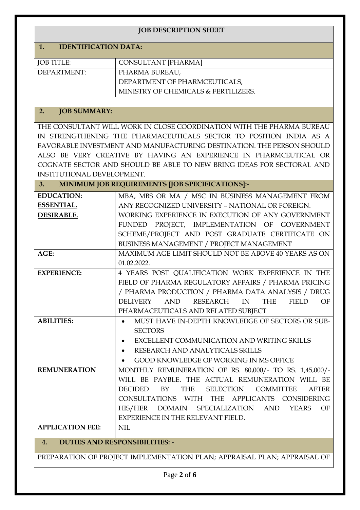| <b>JOB DESCRIPTION SHEET</b>                                             |                                                                       |  |  |  |  |  |
|--------------------------------------------------------------------------|-----------------------------------------------------------------------|--|--|--|--|--|
| <b>IDENTIFICATION DATA:</b><br>1.                                        |                                                                       |  |  |  |  |  |
| <b>JOB TITLE:</b>                                                        | <b>CONSULTANT [PHARMA]</b>                                            |  |  |  |  |  |
| DEPARTMENT:                                                              | PHARMA BUREAU,                                                        |  |  |  |  |  |
|                                                                          | DEPARTMENT OF PHARMCEUTICALS,                                         |  |  |  |  |  |
|                                                                          | MINISTRY OF CHEMICALS & FERTILIZERS.                                  |  |  |  |  |  |
|                                                                          |                                                                       |  |  |  |  |  |
| <b>JOB SUMMARY:</b><br>2.                                                |                                                                       |  |  |  |  |  |
|                                                                          | THE CONSULTANT WILL WORK IN CLOSE COORDINATION WITH THE PHARMA BUREAU |  |  |  |  |  |
|                                                                          | IN STRENGTHENING THE PHARMACEUTICALS SECTOR TO POSITION INDIA AS A    |  |  |  |  |  |
|                                                                          | FAVORABLE INVESTMENT AND MANUFACTURING DESTINATION. THE PERSON SHOULD |  |  |  |  |  |
|                                                                          | ALSO BE VERY CREATIVE BY HAVING AN EXPERIENCE IN PHARMCEUTICAL OR     |  |  |  |  |  |
|                                                                          | COGNATE SECTOR AND SHOULD BE ABLE TO NEW BRING IDEAS FOR SECTORAL AND |  |  |  |  |  |
| INSTITUTIONAL DEVELOPMENT.                                               |                                                                       |  |  |  |  |  |
| 3.                                                                       | MINIMUM JOB REQUIREMENTS [JOB SPECIFICATIONS]:-                       |  |  |  |  |  |
| <b>EDUCATION:</b>                                                        | MBA, MBS OR MA / MSC IN BUSINESS MANAGEMENT FROM                      |  |  |  |  |  |
| ESSENTIAL.                                                               | ANY RECOGNIZED UNIVERSITY - NATIONAL OR FOREIGN.                      |  |  |  |  |  |
| <b>DESIRABLE.</b>                                                        | WORKING EXPERIENCE IN EXECUTION OF ANY GOVERNMENT                     |  |  |  |  |  |
|                                                                          | FUNDED PROJECT, IMPLEMENTATION OF GOVERNMENT                          |  |  |  |  |  |
|                                                                          | SCHEME/PROJECT AND POST GRADUATE CERTIFICATE ON                       |  |  |  |  |  |
|                                                                          | BUSINESS MANAGEMENT / PROJECT MANAGEMENT                              |  |  |  |  |  |
| AGE:                                                                     | MAXIMUM AGE LIMIT SHOULD NOT BE ABOVE 40 YEARS AS ON<br>01.02.2022.   |  |  |  |  |  |
| <b>EXPERIENCE:</b>                                                       | 4 YEARS POST QUALIFICATION WORK EXPERIENCE IN THE                     |  |  |  |  |  |
|                                                                          | FIELD OF PHARMA REGULATORY AFFAIRS / PHARMA PRICING                   |  |  |  |  |  |
|                                                                          | / PHARMA PRODUCTION / PHARMA DATA ANALYSIS / DRUG                     |  |  |  |  |  |
|                                                                          | DELIVERY AND RESEARCH IN THE<br><b>FIELD</b><br>OF                    |  |  |  |  |  |
|                                                                          | PHARMACEUTICALS AND RELATED SUBJECT                                   |  |  |  |  |  |
| <b>ABILITIES:</b>                                                        | MUST HAVE IN-DEPTH KNOWLEDGE OF SECTORS OR SUB-                       |  |  |  |  |  |
|                                                                          | <b>SECTORS</b>                                                        |  |  |  |  |  |
|                                                                          | EXCELLENT COMMUNICATION AND WRITING SKILLS<br>$\bullet$               |  |  |  |  |  |
|                                                                          | RESEARCH AND ANALYTICALS SKILLS<br>$\bullet$                          |  |  |  |  |  |
|                                                                          | GOOD KNOWLEDGE OF WORKING IN MS OFFICE                                |  |  |  |  |  |
| <b>REMUNERATION</b>                                                      | MONTHLY REMUNERATION OF RS. 80,000/- TO RS. 1,45,000/-                |  |  |  |  |  |
|                                                                          | WILL BE PAYBLE. THE ACTUAL REMUNERATION WILL BE                       |  |  |  |  |  |
|                                                                          | DECIDED BY THE SELECTION COMMITTEE<br><b>AFTER</b>                    |  |  |  |  |  |
|                                                                          | CONSULTATIONS WITH THE APPLICANTS CONSIDERING                         |  |  |  |  |  |
|                                                                          | HIS/HER DOMAIN SPECIALIZATION AND<br><b>YEARS</b><br>OF               |  |  |  |  |  |
|                                                                          | EXPERIENCE IN THE RELEVANT FIELD.                                     |  |  |  |  |  |
| <b>APPLICATION FEE:</b>                                                  | <b>NIL</b>                                                            |  |  |  |  |  |
| <b>DUTIES AND RESPONSIBILITIES: -</b><br>4.                              |                                                                       |  |  |  |  |  |
| PREPARATION OF PROJECT IMPLEMENTATION PLAN; APPRAISAL PLAN; APPRAISAL OF |                                                                       |  |  |  |  |  |
|                                                                          |                                                                       |  |  |  |  |  |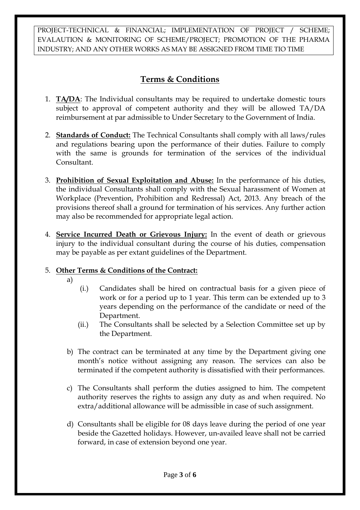PROJECT-TECHNICAL & FINANCIAL; IMPLEMENTATION OF PROJECT / SCHEME; EVALAUTION & MONITORING OF SCHEME/PROJECT; PROMOTION OF THE PHARMA INDUSTRY; AND ANY OTHER WORKS AS MAY BE ASSIGNED FROM TIME TIO TIME

# **Terms & Conditions**

- 1. **TA/DA**: The Individual consultants may be required to undertake domestic tours subject to approval of competent authority and they will be allowed TA/DA reimbursement at par admissible to Under Secretary to the Government of India.
- 2. **Standards of Conduct:** The Technical Consultants shall comply with all laws/rules and regulations bearing upon the performance of their duties. Failure to comply with the same is grounds for termination of the services of the individual Consultant.
- 3. **Prohibition of Sexual Exploitation and Abuse:** In the performance of his duties, the individual Consultants shall comply with the Sexual harassment of Women at Workplace (Prevention, Prohibition and Redressal) Act, 2013. Any breach of the provisions thereof shall a ground for termination of his services. Any further action may also be recommended for appropriate legal action.
- 4. **Service Incurred Death or Grievous Injury:** In the event of death or grievous injury to the individual consultant during the course of his duties, compensation may be payable as per extant guidelines of the Department.

# 5. **Other Terms & Conditions of the Contract:**

- a)
- (i.) Candidates shall be hired on contractual basis for a given piece of work or for a period up to 1 year. This term can be extended up to 3 years depending on the performance of the candidate or need of the Department.
- (ii.) The Consultants shall be selected by a Selection Committee set up by the Department.
- b) The contract can be terminated at any time by the Department giving one month's notice without assigning any reason. The services can also be terminated if the competent authority is dissatisfied with their performances.
- c) The Consultants shall perform the duties assigned to him. The competent authority reserves the rights to assign any duty as and when required. No extra/additional allowance will be admissible in case of such assignment.
- d) Consultants shall be eligible for 08 days leave during the period of one year beside the Gazetted holidays. However, un-availed leave shall not be carried forward, in case of extension beyond one year.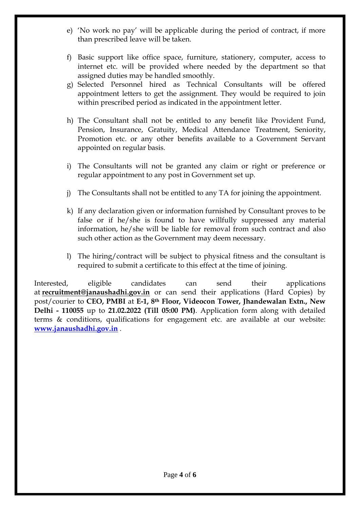- e) 'No work no pay' will be applicable during the period of contract, if more than prescribed leave will be taken.
- f) Basic support like office space, furniture, stationery, computer, access to internet etc. will be provided where needed by the department so that assigned duties may be handled smoothly.
- g) Selected Personnel hired as Technical Consultants will be offered appointment letters to get the assignment. They would be required to join within prescribed period as indicated in the appointment letter.
- h) The Consultant shall not be entitled to any benefit like Provident Fund, Pension, Insurance, Gratuity, Medical Attendance Treatment, Seniority, Promotion etc. or any other benefits available to a Government Servant appointed on regular basis.
- i) The Consultants will not be granted any claim or right or preference or regular appointment to any post in Government set up.
- j) The Consultants shall not be entitled to any TA for joining the appointment.
- k) If any declaration given or information furnished by Consultant proves to be false or if he/she is found to have willfully suppressed any material information, he/she will be liable for removal from such contract and also such other action as the Government may deem necessary.
- l) The hiring/contract will be subject to physical fitness and the consultant is required to submit a certificate to this effect at the time of joining.

Interested, eligible candidates can send their applications at **[recruitment@janaushadhi.gov.in](mailto:recruitment@janaushadhi.gov.in)** or can send their applications (Hard Copies) by post/courier to **CEO, PMBI** at **E-1, 8th Floor, Videocon Tower, Jhandewalan Extn., New Delhi - 110055** up to **21.02.2022 (Till 05:00 PM)**. Application form along with detailed terms & conditions, qualifications for engagement etc. are available at our website: **[www.janaushadhi.gov.in](http://www.janaushadhi.gov.in/)** .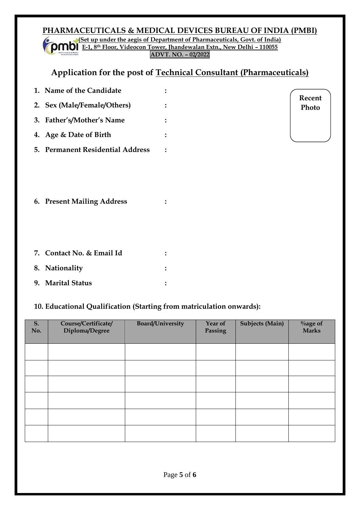### **PHARMACEUTICALS & MEDICAL DEVICES BUREAU OF INDIA (PMBI) (Set up under the aegis of Department of Pharmaceuticals, Govt. of India) E-1, 8th Floor, Videocon Tower, Jhandewalan Extn., New Delhi – 110055**

**ADVT. NO. – 02/2022**

# **Application for the post of Technical Consultant (Pharmaceuticals)**

| 1. Name of the Candidate         |  |
|----------------------------------|--|
| 2. Sex (Male/Female/Others)      |  |
| 3. Father's/Mother's Name        |  |
| 4. Age & Date of Birth           |  |
| 5. Permanent Residential Address |  |

**Recent Photo**

**6. Present Mailing Address :**

| 7. Contact No. & Email Id |  |
|---------------------------|--|
| 8. Nationality            |  |
| 9. Marital Status         |  |

### **10. Educational Qualification (Starting from matriculation onwards):**

| S.<br>No. | Course/Certificate/<br>Diploma/Degree | <b>Board/University</b> | Year of<br>Passing | <b>Subjects (Main)</b> | $\%$ age of<br><b>Marks</b> |
|-----------|---------------------------------------|-------------------------|--------------------|------------------------|-----------------------------|
|           |                                       |                         |                    |                        |                             |
|           |                                       |                         |                    |                        |                             |
|           |                                       |                         |                    |                        |                             |
|           |                                       |                         |                    |                        |                             |
|           |                                       |                         |                    |                        |                             |
|           |                                       |                         |                    |                        |                             |